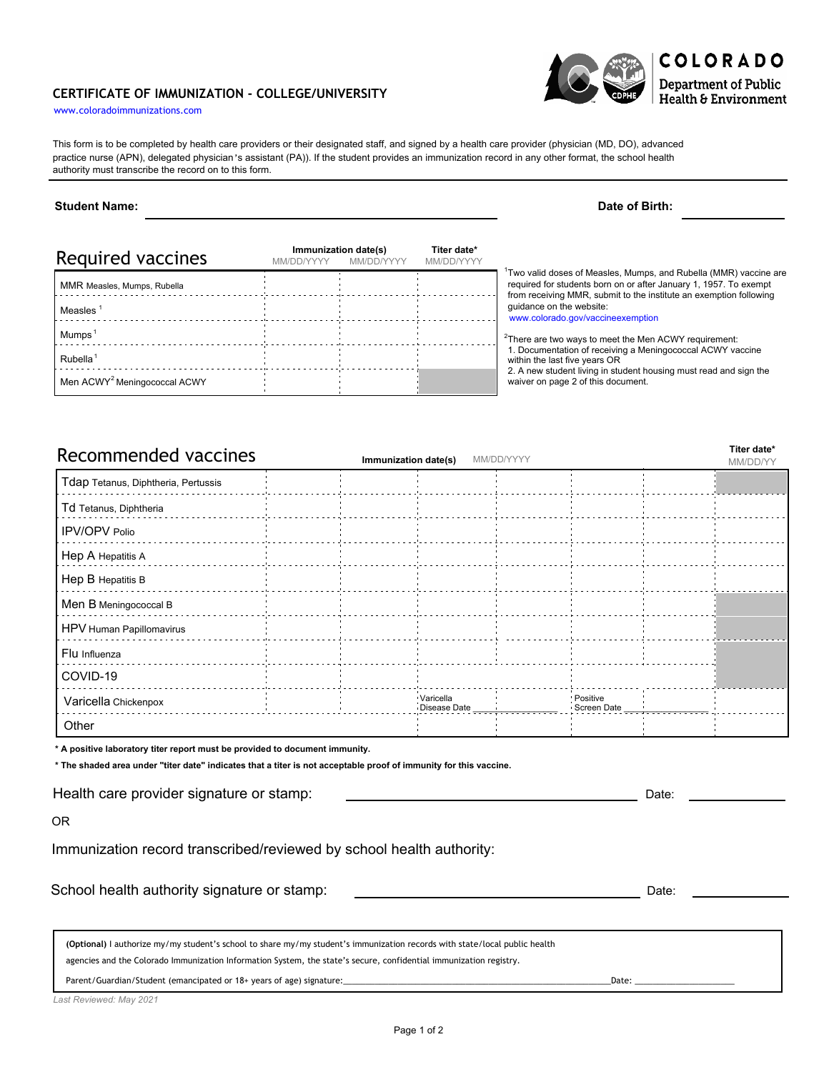## **CERTIFICATE OF IMMUNIZATION - COLLEGE/UNIVERSITY**



This form is to be completed by health care providers or their designated staff, and signed by a health care provider (physician (MD, DO), advanced practice nurse (APN), delegated physician's assistant (PA)). If the student provides an immunization record in any other format, the school health authority must transcribe the record on to this form.

## **Student Name: Date of Birth:**

| Required vaccines                        | Immunization date(s)<br>MM/DD/YYYY<br>MM/DD/YYYY |  | Titer date*<br>MM/DD/YYYY |                                                                                                                                                                                                                          |  |  |  |
|------------------------------------------|--------------------------------------------------|--|---------------------------|--------------------------------------------------------------------------------------------------------------------------------------------------------------------------------------------------------------------------|--|--|--|
| MMR Measles, Mumps, Rubella              |                                                  |  |                           | <sup>1</sup> Two valid doses of Measles, Mumps, and Rubella (MMR) vaccine are<br>required for students born on or after January 1, 1957. To exempt<br>from receiving MMR, submit to the institute an exemption following |  |  |  |
| Measles                                  |                                                  |  |                           | quidance on the website:<br>www.colorado.gov/vaccineexemption                                                                                                                                                            |  |  |  |
| <b>Mumps</b>                             |                                                  |  |                           | <sup>2</sup> There are two ways to meet the Men ACWY requirement:                                                                                                                                                        |  |  |  |
| Rubella <sup>1</sup>                     |                                                  |  |                           | 1. Documentation of receiving a Meningococcal ACWY vaccine<br>within the last five years OR                                                                                                                              |  |  |  |
| Men ACWY <sup>2</sup> Meningococcal ACWY |                                                  |  |                           | 2. A new student living in student housing must read and sign the<br>waiver on page 2 of this document.                                                                                                                  |  |  |  |

| Recommended vaccines                | MM/DD/YYYY<br>Immunization date(s) |  |                           |  |                           |  |  |
|-------------------------------------|------------------------------------|--|---------------------------|--|---------------------------|--|--|
| Tdap Tetanus, Diphtheria, Pertussis |                                    |  |                           |  |                           |  |  |
| Td Tetanus, Diphtheria              |                                    |  |                           |  |                           |  |  |
| <b>IPV/OPV Polio</b>                |                                    |  |                           |  |                           |  |  |
| Hep A Hepatitis A                   |                                    |  |                           |  |                           |  |  |
| Hep B Hepatitis B                   |                                    |  |                           |  |                           |  |  |
| Men B Meningococcal B               |                                    |  |                           |  |                           |  |  |
| HPV Human Papillomavirus            |                                    |  |                           |  |                           |  |  |
| Flu Influenza                       |                                    |  |                           |  |                           |  |  |
| COVID-19                            |                                    |  |                           |  |                           |  |  |
| Varicella Chickenpox                |                                    |  | Varicella<br>Disease Date |  | : Positive<br>Screen Date |  |  |
| Other                               |                                    |  |                           |  |                           |  |  |

**\* A positive laboratory titer report must be provided to document immunity.**

**\* The shaded area under "titer date" indicates that a titer is not acceptable proof of immunity for this vaccine.**

Health care provider signature or stamp:

OR

Immunization record transcribed/reviewed by school health authority:

School health authority signature or stamp: Date: Date: Date: Date: Date: Date: Date: Date: Date: Date: Date: Date: Date: Date: Date: Date: Date: Date: Date: Date: Date: Date: Date: Date: Date: Date: Date: Date: Date: Date

**(Optional)** I authorize my/my student's school to share my/my student's immunization records with state/local public health

agencies and the Colorado Immunization Information System, the state's secure, confidential immunization registry.

Parent/Guardian/Student (emancipated or 18+ years of age) signature:\_\_\_\_\_\_\_\_\_\_\_\_\_\_\_\_\_\_\_\_\_\_\_\_\_\_\_\_\_\_\_\_\_\_\_\_\_\_\_\_\_\_\_\_\_\_\_\_\_\_\_\_\_\_\_\_\_\_\_Date: \_\_\_\_\_\_\_\_\_\_\_\_\_\_\_\_\_\_\_\_\_\_

*Last Reviewed: May 2021*

Date:

**Titer date\***